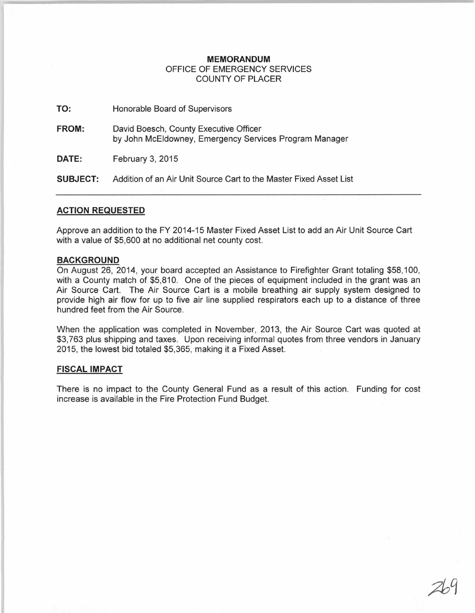## **MEMORANDUM**  OFFICE OF EMERGENCY SERVICES COUNTY OF PLACER

**TO:** Honorable Board of Supervisors

**FROM:** David Boesch, County Executive Officer by John McEldowney, Emergency Services Program Manager

**DATE:** February 3, 2015

**SUBJECT:** Addition of an Air Unit Source Cart to the Master Fixed Asset List

## **ACTION REQUESTED**

Approve an addition to the FY 2014-15 Master Fixed Asset List to add an Air Unit Source Cart with a value of \$5,600 at no additional net county cost.

## **BACKGROUND**

On August 26, 2014, your board accepted an Assistance to Firefighter Grant totaling \$58,100, with a County match of \$5,810. One of the pieces of equipment included in the grant was an Air Source Cart. The Air Source Cart is a mobile breathing air supply system designed to provide high air flow for up to five air line supplied respirators each up to a distance of three hundred feet from the Air Source.

When the application was completed in November, 2013, the Air Source Cart was quoted at \$3,763 plus shipping and taxes. Upon receiving informal quotes from three vendors in January 2015, the lowest bid totaled \$5,365, making it a Fixed Asset.

## **FISCAL IMPACT**

There is no impact to the County General Fund as a result of this action. Funding for cost increase is available in the Fire Protection Fund Budget.